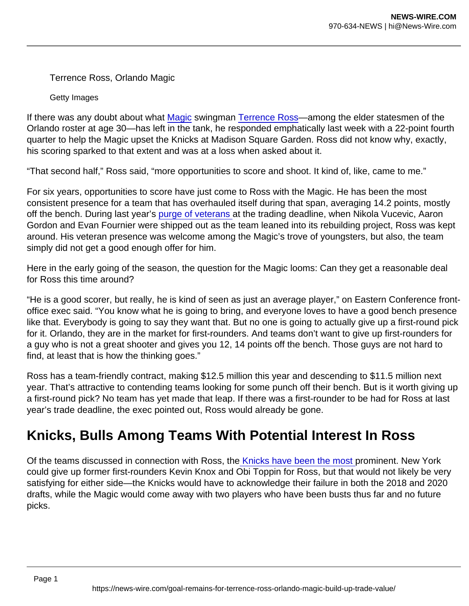Terrence Ross, Orlando Magic

Getty Images

If there was any doubt about what [Magic](https://www.forbes.com/teams/orlando-magic/?sh=58be65d62e55) swingman [Terrence Ross—](https://www.forbes.com/sites/joshbenjamin/2017/02/14/terrence-ross-could-benefit-most-from-the-serge-ibaka-trade/?sh=342c3a634e7d)among the elder statesmen of the Orlando roster at age 30—has left in the tank, he responded emphatically last week with a 22-point fourth quarter to help the Magic upset the Knicks at Madison Square Garden. Ross did not know why, exactly, his scoring sparked to that extent and was at a loss when asked about it.

"That second half," Ross said, "more opportunities to score and shoot. It kind of, like, came to me."

For six years, opportunities to score have just come to Ross with the Magic. He has been the most consistent presence for a team that has overhauled itself during that span, averaging 14.2 points, mostly off the bench. During last year's [purge of veterans a](https://www.forbes.com/sites/mortenjensen/2021/08/24/the-orlando-magic-are-committing-themselves-to-the-future/?sh=797d0d8d7145)t the trading deadline, when Nikola Vucevic, Aaron Gordon and Evan Fournier were shipped out as the team leaned into its rebuilding project, Ross was kept around. His veteran presence was welcome among the Magic's trove of youngsters, but also, the team simply did not get a good enough offer for him.

Here in the early going of the season, the question for the Magic looms: Can they get a reasonable deal for Ross this time around?

"He is a good scorer, but really, he is kind of seen as just an average player," on Eastern Conference frontoffice exec said. "You know what he is going to bring, and everyone loves to have a good bench presence like that. Everybody is going to say they want that. But no one is going to actually give up a first-round pick for it. Orlando, they are in the market for first-rounders. And teams don't want to give up first-rounders for a guy who is not a great shooter and gives you 12, 14 points off the bench. Those guys are not hard to find, at least that is how the thinking goes."

Ross has a team-friendly contract, making \$12.5 million this year and descending to \$11.5 million next year. That's attractive to contending teams looking for some punch off their bench. But is it worth giving up a first-round pick? No team has yet made that leap. If there was a first-rounder to be had for Ross at last year's trade deadline, the exec pointed out, Ross would already be gone.

## Knicks, Bulls Among Teams With Potential Interest In Ross

Of the teams discussed in connection with Ross, th[e Knicks have been the most p](https://dailyknicks.com/2021/10/25/new-york-knicks-3-key-factors-trade-terrence-ross/)rominent. New York could give up former first-rounders Kevin Knox and Obi Toppin for Ross, but that would not likely be very satisfying for either side—the Knicks would have to acknowledge their failure in both the 2018 and 2020 drafts, while the Magic would come away with two players who have been busts thus far and no future picks.